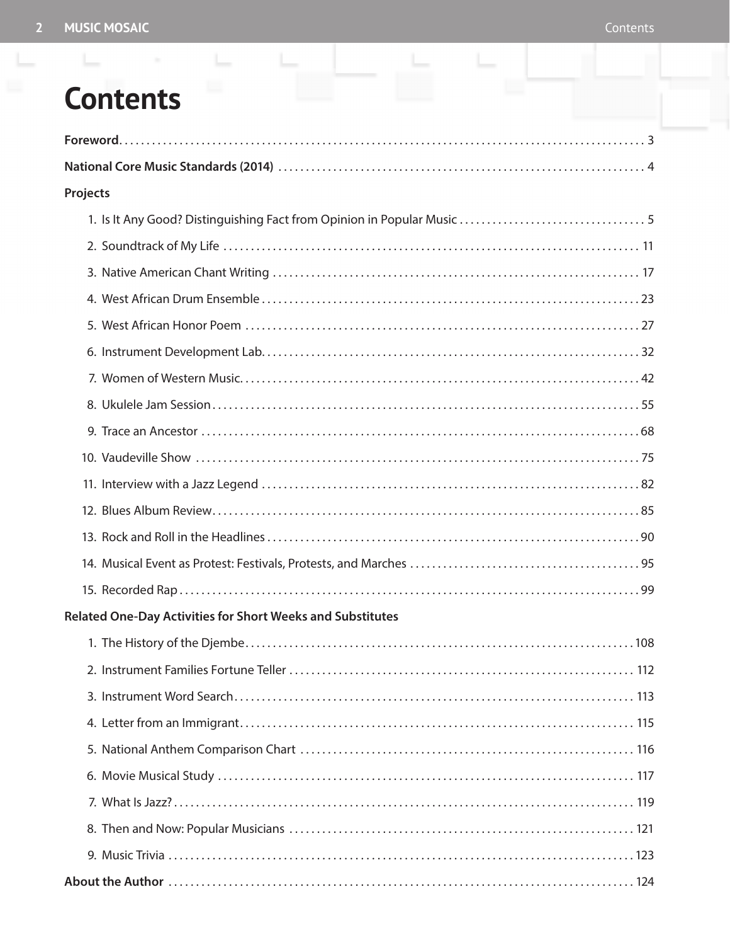## **Contents**

| Projects                                                          |
|-------------------------------------------------------------------|
|                                                                   |
|                                                                   |
|                                                                   |
|                                                                   |
|                                                                   |
|                                                                   |
|                                                                   |
|                                                                   |
|                                                                   |
|                                                                   |
|                                                                   |
|                                                                   |
|                                                                   |
|                                                                   |
|                                                                   |
| <b>Related One-Day Activities for Short Weeks and Substitutes</b> |
|                                                                   |
|                                                                   |
|                                                                   |
|                                                                   |
|                                                                   |
|                                                                   |
|                                                                   |
|                                                                   |
|                                                                   |
|                                                                   |

ò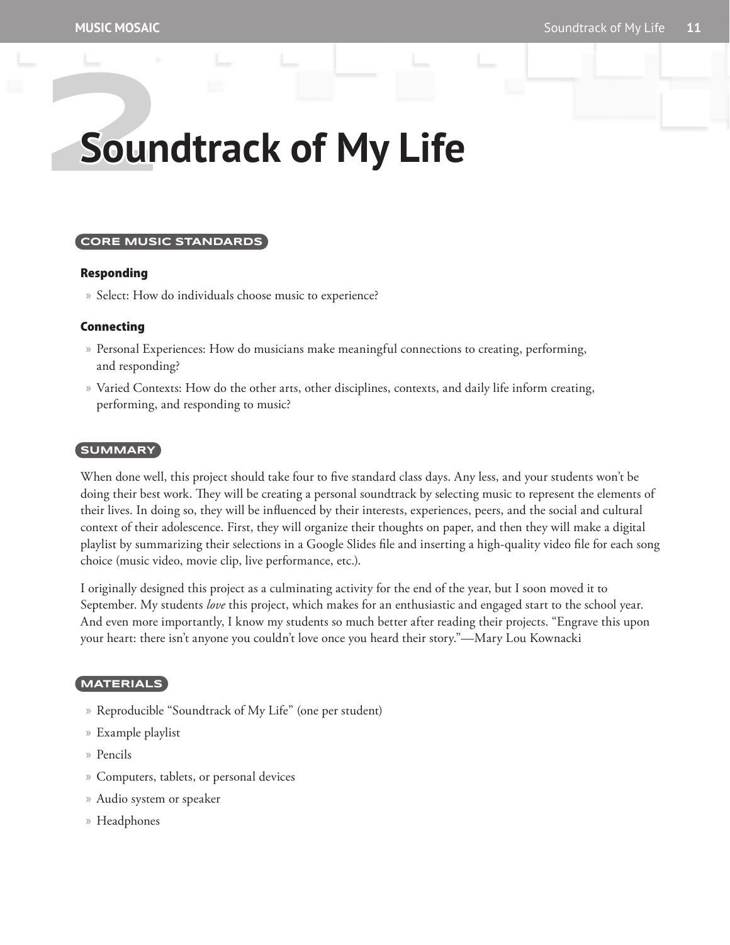# **2Soundtrack of My Life**

#### **CORE MUSIC STANDARDS**

#### Responding

» Select: How do individuals choose music to experience?

#### Connecting

- » Personal Experiences: How do musicians make meaningful connections to creating, performing, and responding?
- » Varied Contexts: How do the other arts, other disciplines, contexts, and daily life inform creating, performing, and responding to music?

#### **SUMMARY**

When done well, this project should take four to five standard class days. Any less, and your students won't be doing their best work. They will be creating a personal soundtrack by selecting music to represent the elements of their lives. In doing so, they will be influenced by their interests, experiences, peers, and the social and cultural context of their adolescence. First, they will organize their thoughts on paper, and then they will make a digital playlist by summarizing their selections in a Google Slides file and inserting a high-quality video file for each song choice (music video, movie clip, live performance, etc.).

I originally designed this project as a culminating activity for the end of the year, but I soon moved it to September. My students *love* this project, which makes for an enthusiastic and engaged start to the school year. And even more importantly, I know my students so much better after reading their projects. "Engrave this upon your heart: there isn't anyone you couldn't love once you heard their story."—Mary Lou Kownacki

#### **MATERIALS**

- » Reproducible "Soundtrack of My Life" (one per student)
- » Example playlist
- » Pencils
- » Computers, tablets, or personal devices
- » Audio system or speaker
- » Headphones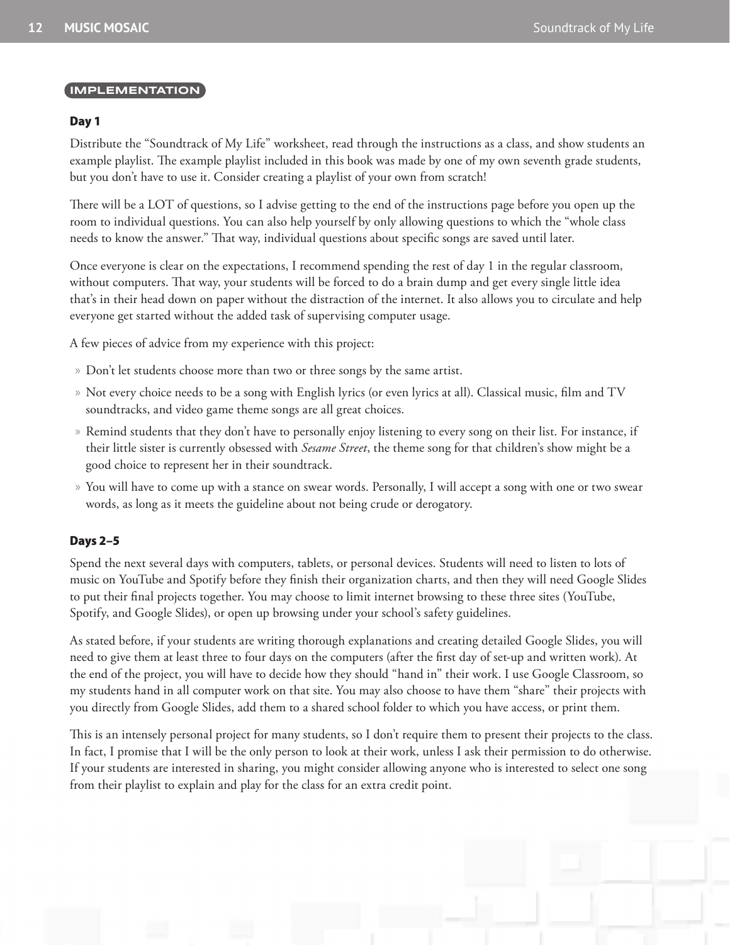#### **IMPLEMENTATION**

#### Day 1

Distribute the "Soundtrack of My Life" worksheet, read through the instructions as a class, and show students an example playlist. The example playlist included in this book was made by one of my own seventh grade students, but you don't have to use it. Consider creating a playlist of your own from scratch!

There will be a LOT of questions, so I advise getting to the end of the instructions page before you open up the room to individual questions. You can also help yourself by only allowing questions to which the "whole class needs to know the answer." That way, individual questions about specific songs are saved until later.

Once everyone is clear on the expectations, I recommend spending the rest of day 1 in the regular classroom, without computers. That way, your students will be forced to do a brain dump and get every single little idea that's in their head down on paper without the distraction of the internet. It also allows you to circulate and help everyone get started without the added task of supervising computer usage.

A few pieces of advice from my experience with this project:

- » Don't let students choose more than two or three songs by the same artist.
- » Not every choice needs to be a song with English lyrics (or even lyrics at all). Classical music, film and TV soundtracks, and video game theme songs are all great choices.
- » Remind students that they don't have to personally enjoy listening to every song on their list. For instance, if their little sister is currently obsessed with *Sesame Street*, the theme song for that children's show might be a good choice to represent her in their soundtrack.
- » You will have to come up with a stance on swear words. Personally, I will accept a song with one or two swear words, as long as it meets the guideline about not being crude or derogatory.

#### Days 2–5

Spend the next several days with computers, tablets, or personal devices. Students will need to listen to lots of music on YouTube and Spotify before they finish their organization charts, and then they will need Google Slides to put their final projects together. You may choose to limit internet browsing to these three sites (YouTube, Spotify, and Google Slides), or open up browsing under your school's safety guidelines.

As stated before, if your students are writing thorough explanations and creating detailed Google Slides, you will need to give them at least three to four days on the computers (after the first day of set-up and written work). At the end of the project, you will have to decide how they should "hand in" their work. I use Google Classroom, so my students hand in all computer work on that site. You may also choose to have them "share" their projects with you directly from Google Slides, add them to a shared school folder to which you have access, or print them.

This is an intensely personal project for many students, so I don't require them to present their projects to the class. In fact, I promise that I will be the only person to look at their work, unless I ask their permission to do otherwise. If your students are interested in sharing, you might consider allowing anyone who is interested to select one song from their playlist to explain and play for the class for an extra credit point.